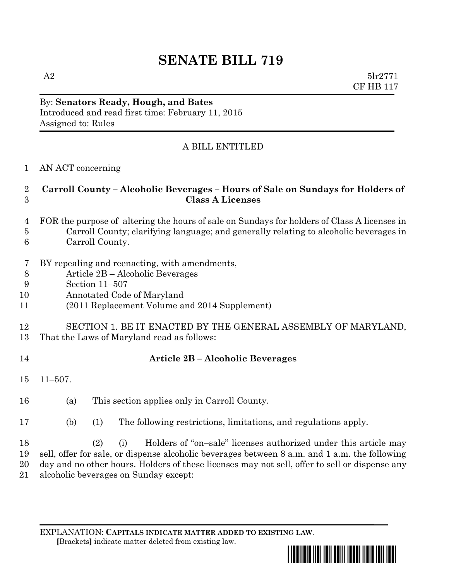# **SENATE BILL 719**

A2  $5\text{lr}2771$ CF HB 117

### By: **Senators Ready, Hough, and Bates** Introduced and read first time: February 11, 2015 Assigned to: Rules

## A BILL ENTITLED

#### AN ACT concerning

#### **Carroll County – Alcoholic Beverages – Hours of Sale on Sundays for Holders of Class A Licenses**

#### FOR the purpose of altering the hours of sale on Sundays for holders of Class A licenses in Carroll County; clarifying language; and generally relating to alcoholic beverages in Carroll County.

- BY repealing and reenacting, with amendments,
- Article 2B Alcoholic Beverages
- Section 11–507
- Annotated Code of Maryland
- (2011 Replacement Volume and 2014 Supplement)

#### SECTION 1. BE IT ENACTED BY THE GENERAL ASSEMBLY OF MARYLAND, That the Laws of Maryland read as follows:

#### **Article 2B – Alcoholic Beverages**

- 11–507.
- (a) This section applies only in Carroll County.
- (b) (1) The following restrictions, limitations, and regulations apply.

 (2) (i) Holders of "on–sale" licenses authorized under this article may sell, offer for sale, or dispense alcoholic beverages between 8 a.m. and 1 a.m. the following day and no other hours. Holders of these licenses may not sell, offer to sell or dispense any alcoholic beverages on Sunday except:

EXPLANATION: **CAPITALS INDICATE MATTER ADDED TO EXISTING LAW**.  **[**Brackets**]** indicate matter deleted from existing law.